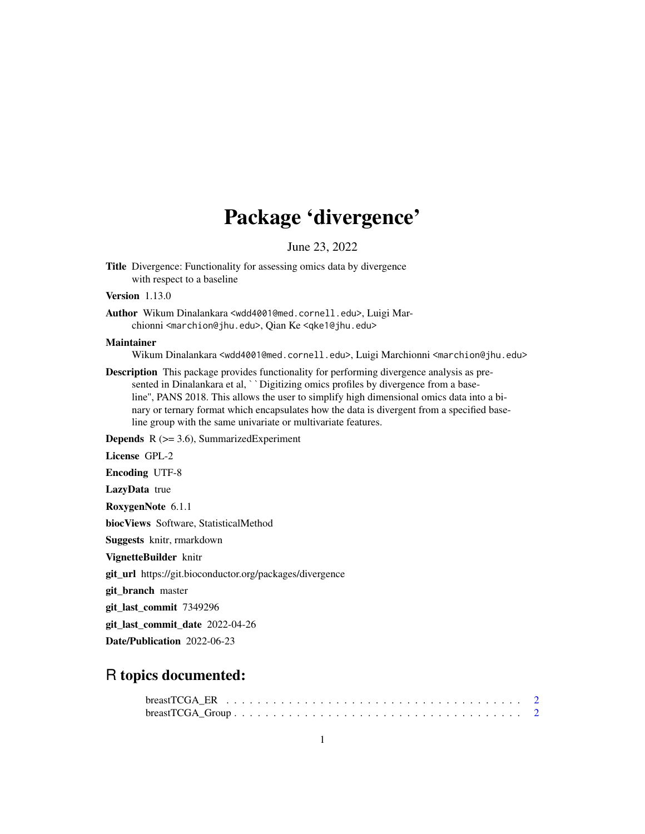# Package 'divergence'

June 23, 2022

Title Divergence: Functionality for assessing omics data by divergence with respect to a baseline

Version 1.13.0

Author Wikum Dinalankara <wdd4001@med.cornell.edu>, Luigi Marchionni <marchion@jhu.edu>, Qian Ke <qke1@jhu.edu>

# Maintainer

Wikum Dinalankara <wdd4001@med.cornell.edu>, Luigi Marchionni <marchion@jhu.edu>

Description This package provides functionality for performing divergence analysis as presented in Dinalankara et al, ``Digitizing omics profiles by divergence from a baseline'', PANS 2018. This allows the user to simplify high dimensional omics data into a binary or ternary format which encapsulates how the data is divergent from a specified baseline group with the same univariate or multivariate features.

**Depends**  $R$  ( $>= 3.6$ ), SummarizedExperiment

License GPL-2

Encoding UTF-8

LazyData true

RoxygenNote 6.1.1

biocViews Software, StatisticalMethod

Suggests knitr, rmarkdown

VignetteBuilder knitr

git\_url https://git.bioconductor.org/packages/divergence

git\_branch master

git\_last\_commit 7349296

git\_last\_commit\_date 2022-04-26

Date/Publication 2022-06-23

# R topics documented:

| $breakTCGA_Group \n \n \n \n \n \n \n \n \n \n \n \n \n$ |  |  |  |  |  |  |  |  |  |  |  |  |  |  |  |  |  |
|----------------------------------------------------------|--|--|--|--|--|--|--|--|--|--|--|--|--|--|--|--|--|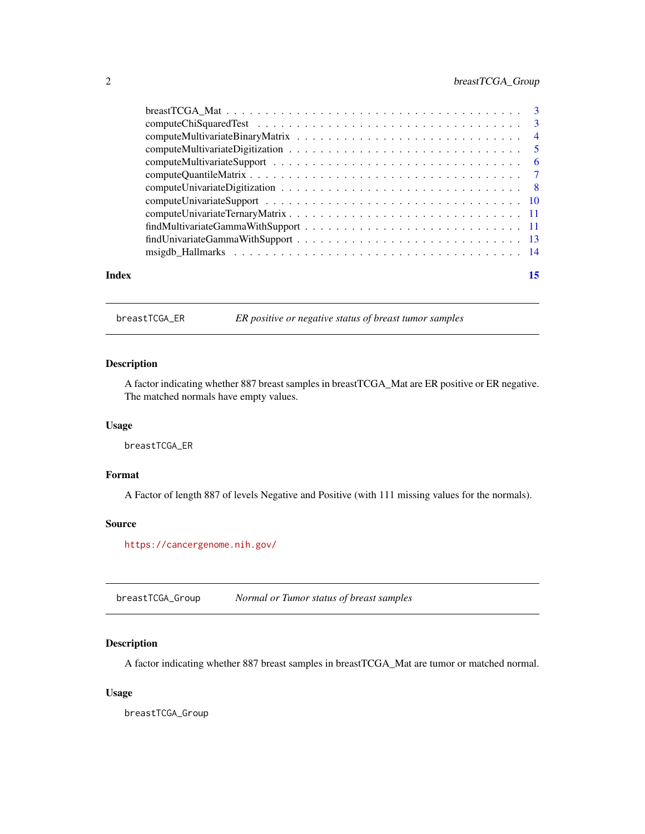<span id="page-1-0"></span>

|       | $findMultivariate GammaWithSupport \dots \dots \dots \dots \dots \dots \dots \dots \dots \dots \dots \dots \dots \dots \dots \dots \dots$ |    |
|-------|-------------------------------------------------------------------------------------------------------------------------------------------|----|
|       |                                                                                                                                           |    |
|       |                                                                                                                                           |    |
| Index |                                                                                                                                           | 15 |
|       |                                                                                                                                           |    |

breastTCGA\_ER *ER positive or negative status of breast tumor samples*

# Description

A factor indicating whether 887 breast samples in breastTCGA\_Mat are ER positive or ER negative. The matched normals have empty values.

#### Usage

breastTCGA\_ER

# Format

A Factor of length 887 of levels Negative and Positive (with 111 missing values for the normals).

#### Source

<https://cancergenome.nih.gov/>

breastTCGA\_Group *Normal or Tumor status of breast samples*

# Description

A factor indicating whether 887 breast samples in breastTCGA\_Mat are tumor or matched normal.

#### Usage

breastTCGA\_Group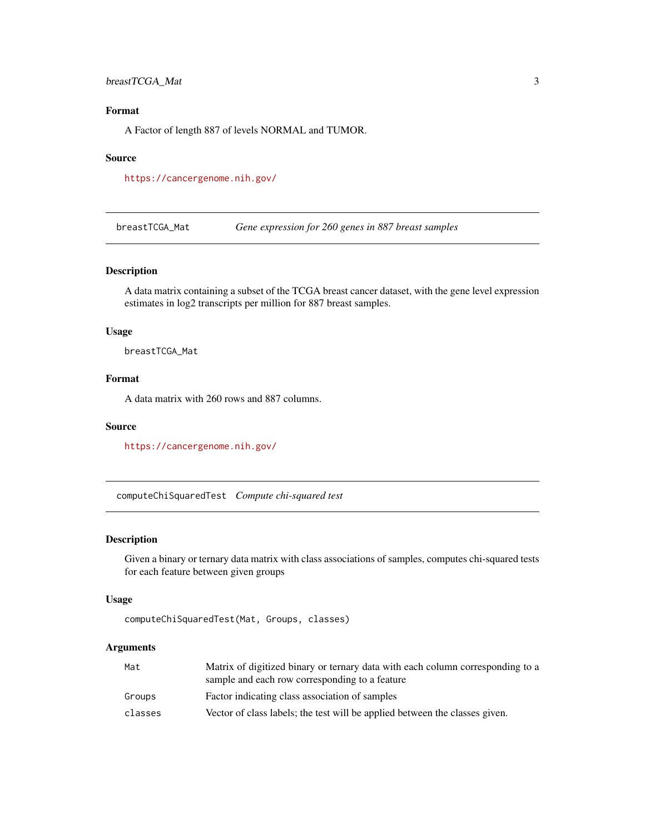# <span id="page-2-0"></span>breastTCGA\_Mat 3

# Format

A Factor of length 887 of levels NORMAL and TUMOR.

#### Source

<https://cancergenome.nih.gov/>

breastTCGA\_Mat *Gene expression for 260 genes in 887 breast samples*

# Description

A data matrix containing a subset of the TCGA breast cancer dataset, with the gene level expression estimates in log2 transcripts per million for 887 breast samples.

# Usage

breastTCGA\_Mat

# Format

A data matrix with 260 rows and 887 columns.

# Source

<https://cancergenome.nih.gov/>

computeChiSquaredTest *Compute chi-squared test*

# Description

Given a binary or ternary data matrix with class associations of samples, computes chi-squared tests for each feature between given groups

#### Usage

```
computeChiSquaredTest(Mat, Groups, classes)
```
#### Arguments

| Mat     | Matrix of digitized binary or ternary data with each column corresponding to a<br>sample and each row corresponding to a feature |
|---------|----------------------------------------------------------------------------------------------------------------------------------|
| Groups  | Factor indicating class association of samples                                                                                   |
| classes | Vector of class labels; the test will be applied between the classes given.                                                      |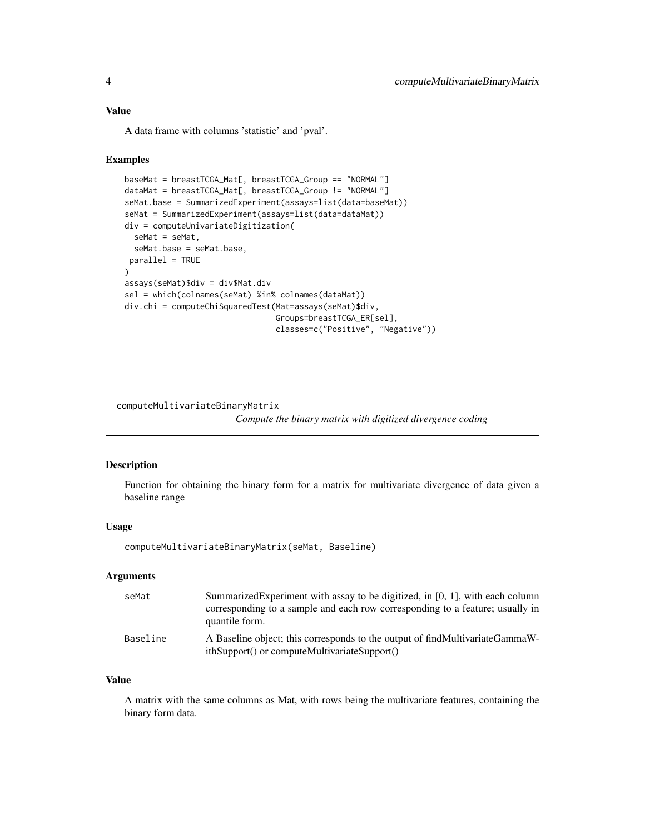# <span id="page-3-0"></span>Value

A data frame with columns 'statistic' and 'pval'.

#### Examples

```
baseMat = breastTCGA_Mat[, breastTCGA_Group == "NORMAL"]
dataMat = breastTCGA_Mat[, breastTCGA_Group != "NORMAL"]
seMat.base = SummarizedExperiment(assays=list(data=baseMat))
seMat = SummarizedExperiment(assays=list(data=dataMat))
div = computeUnivariateDigitization(
  seMat = seMat,
  seMat.base = seMat.base,
 parallel = TRUE
\mathcal{L}assays(seMat)$div = div$Mat.div
sel = which(colnames(seMat) %in% colnames(dataMat))
div.chi = computeChiSquaredTest(Mat=assays(seMat)$div,
                                Groups=breastTCGA_ER[sel],
                                classes=c("Positive", "Negative"))
```
computeMultivariateBinaryMatrix

*Compute the binary matrix with digitized divergence coding*

# Description

Function for obtaining the binary form for a matrix for multivariate divergence of data given a baseline range

#### Usage

computeMultivariateBinaryMatrix(seMat, Baseline)

#### Arguments

| seMat    | Summarized Experiment with assay to be digitized, in [0, 1], with each column<br>corresponding to a sample and each row corresponding to a feature; usually in<br>quantile form. |
|----------|----------------------------------------------------------------------------------------------------------------------------------------------------------------------------------|
| Baseline | A Baseline object; this corresponds to the output of findMultivariateGammaW-<br>ithSupport() or computeMultivariateSupport()                                                     |

#### Value

A matrix with the same columns as Mat, with rows being the multivariate features, containing the binary form data.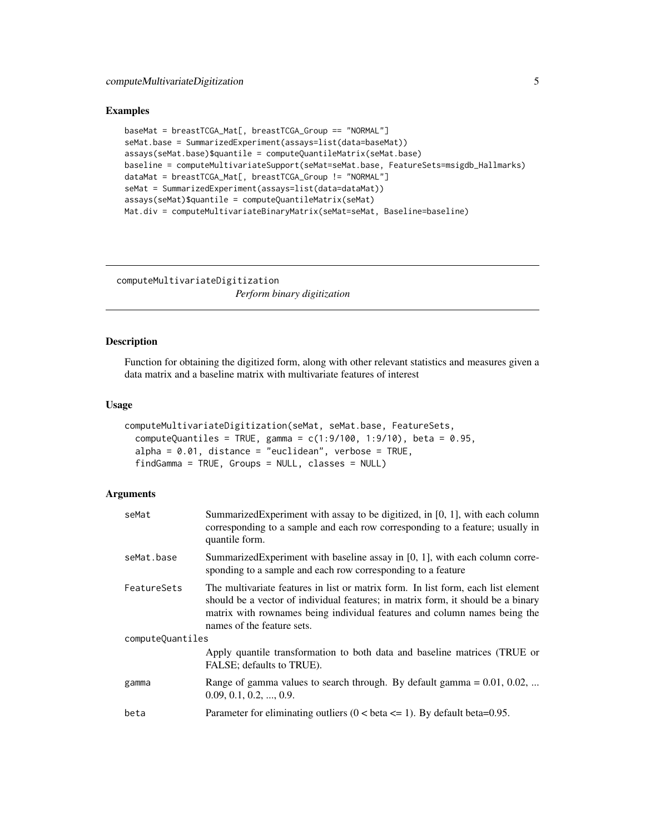#### <span id="page-4-0"></span>Examples

```
baseMat = breastTCGA_Mat[, breastTCGA_Group == "NORMAL"]
seMat.base = SummarizedExperiment(assays=list(data=baseMat))
assays(seMat.base)$quantile = computeQuantileMatrix(seMat.base)
baseline = computeMultivariateSupport(seMat=seMat.base, FeatureSets=msigdb_Hallmarks)
dataMat = breastTCGA_Mat[, breastTCGA_Group != "NORMAL"]
seMat = SummarizedExperiment(assays=list(data=dataMat))
assays(seMat)$quantile = computeQuantileMatrix(seMat)
Mat.div = computeMultivariateBinaryMatrix(seMat=seMat, Baseline=baseline)
```
computeMultivariateDigitization *Perform binary digitization*

#### Description

Function for obtaining the digitized form, along with other relevant statistics and measures given a data matrix and a baseline matrix with multivariate features of interest

# Usage

```
computeMultivariateDigitization(seMat, seMat.base, FeatureSets,
  computeQuantiles = TRUE, gamma = c(1:9/100, 1:9/10), beta = 0.95,
  alpha = 0.01, distance = "euclidean", verbose = TRUE,
  findGamma = TRUE, Groups = NULL, classes = NULL)
```
#### Arguments

| seMat            | Summarized Experiment with assay to be digitized, in [0, 1], with each column<br>corresponding to a sample and each row corresponding to a feature; usually in<br>quantile form.                                                                                                 |
|------------------|----------------------------------------------------------------------------------------------------------------------------------------------------------------------------------------------------------------------------------------------------------------------------------|
| seMat.base       | Summarized Experiment with baseline assay in $[0, 1]$ , with each column corre-<br>sponding to a sample and each row corresponding to a feature                                                                                                                                  |
| FeatureSets      | The multivariate features in list or matrix form. In list form, each list element<br>should be a vector of individual features; in matrix form, it should be a binary<br>matrix with rownames being individual features and column names being the<br>names of the feature sets. |
| computeQuantiles |                                                                                                                                                                                                                                                                                  |
|                  | Apply quantile transformation to both data and baseline matrices (TRUE or<br>FALSE; defaults to TRUE).                                                                                                                                                                           |
| gamma            | Range of gamma values to search through. By default gamma $= 0.01, 0.02, $<br>$0.09, 0.1, 0.2, \ldots, 0.9.$                                                                                                                                                                     |
| beta             | Parameter for eliminating outliers $(0 < \beta < 1)$ . By default beta=0.95.                                                                                                                                                                                                     |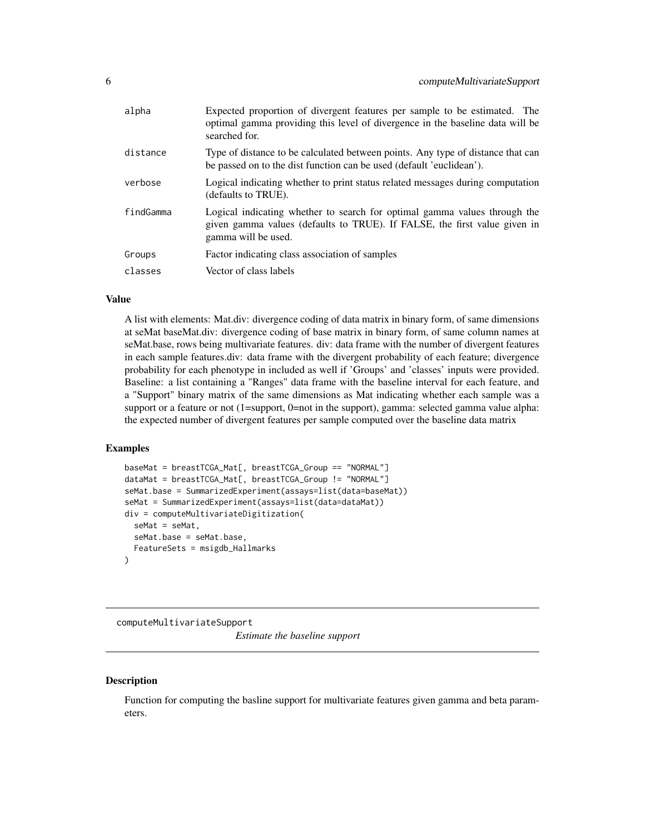<span id="page-5-0"></span>

| alpha     | Expected proportion of divergent features per sample to be estimated. The<br>optimal gamma providing this level of divergence in the baseline data will be<br>searched for.   |
|-----------|-------------------------------------------------------------------------------------------------------------------------------------------------------------------------------|
| distance  | Type of distance to be calculated between points. Any type of distance that can<br>be passed on to the dist function can be used (default 'euclidean').                       |
| verbose   | Logical indicating whether to print status related messages during computation<br>(defaults to TRUE).                                                                         |
| findGamma | Logical indicating whether to search for optimal gamma values through the<br>given gamma values (defaults to TRUE). If FALSE, the first value given in<br>gamma will be used. |
| Groups    | Factor indicating class association of samples                                                                                                                                |
| classes   | Vector of class labels                                                                                                                                                        |
|           |                                                                                                                                                                               |

#### Value

A list with elements: Mat.div: divergence coding of data matrix in binary form, of same dimensions at seMat baseMat.div: divergence coding of base matrix in binary form, of same column names at seMat.base, rows being multivariate features. div: data frame with the number of divergent features in each sample features.div: data frame with the divergent probability of each feature; divergence probability for each phenotype in included as well if 'Groups' and 'classes' inputs were provided. Baseline: a list containing a "Ranges" data frame with the baseline interval for each feature, and a "Support" binary matrix of the same dimensions as Mat indicating whether each sample was a support or a feature or not (1=support, 0=not in the support), gamma: selected gamma value alpha: the expected number of divergent features per sample computed over the baseline data matrix

#### Examples

```
baseMat = breastTCGA_Mat[, breastTCGA_Group == "NORMAL"]
dataMat = breastTCGA_Mat[, breastTCGA_Group != "NORMAL"]
seMat.base = SummarizedExperiment(assays=list(data=baseMat))
seMat = SummarizedExperiment(assays=list(data=dataMat))
div = computeMultivariateDigitization(
  seMat = seMat,
  seMat.base = seMat.base,
  FeatureSets = msigdb_Hallmarks
)
```
computeMultivariateSupport

*Estimate the baseline support*

#### **Description**

Function for computing the basline support for multivariate features given gamma and beta parameters.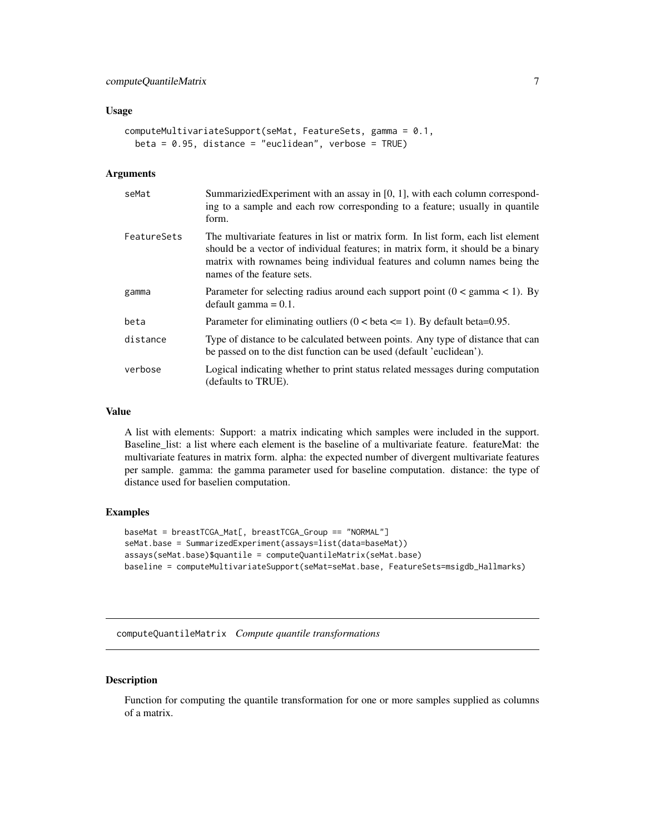#### <span id="page-6-0"></span>Usage

```
computeMultivariateSupport(seMat, FeatureSets, gamma = 0.1,
 beta = 0.95, distance = "euclidean", verbose = TRUE)
```
# Arguments

| seMat       | Summarizied Experiment with an assay in [0, 1], with each column correspond-<br>ing to a sample and each row corresponding to a feature; usually in quantile<br>form.                                                                                                            |
|-------------|----------------------------------------------------------------------------------------------------------------------------------------------------------------------------------------------------------------------------------------------------------------------------------|
| FeatureSets | The multivariate features in list or matrix form. In list form, each list element<br>should be a vector of individual features; in matrix form, it should be a binary<br>matrix with rownames being individual features and column names being the<br>names of the feature sets. |
| gamma       | Parameter for selecting radius around each support point $(0 < \text{gamma} < 1)$ . By<br>$default gamma = 0.1.$                                                                                                                                                                 |
| beta        | Parameter for eliminating outliers $(0 < \beta < 1)$ . By default beta=0.95.                                                                                                                                                                                                     |
| distance    | Type of distance to be calculated between points. Any type of distance that can<br>be passed on to the dist function can be used (default 'euclidean').                                                                                                                          |
| verbose     | Logical indicating whether to print status related messages during computation<br>(defaults to TRUE).                                                                                                                                                                            |

#### Value

A list with elements: Support: a matrix indicating which samples were included in the support. Baseline\_list: a list where each element is the baseline of a multivariate feature. featureMat: the multivariate features in matrix form. alpha: the expected number of divergent multivariate features per sample. gamma: the gamma parameter used for baseline computation. distance: the type of distance used for baselien computation.

# Examples

```
baseMat = breastTCGA_Mat[, breastTCGA_Group == "NORMAL"]
seMat.base = SummarizedExperiment(assays=list(data=baseMat))
assays(seMat.base)$quantile = computeQuantileMatrix(seMat.base)
baseline = computeMultivariateSupport(seMat=seMat.base, FeatureSets=msigdb_Hallmarks)
```
computeQuantileMatrix *Compute quantile transformations*

# Description

Function for computing the quantile transformation for one or more samples supplied as columns of a matrix.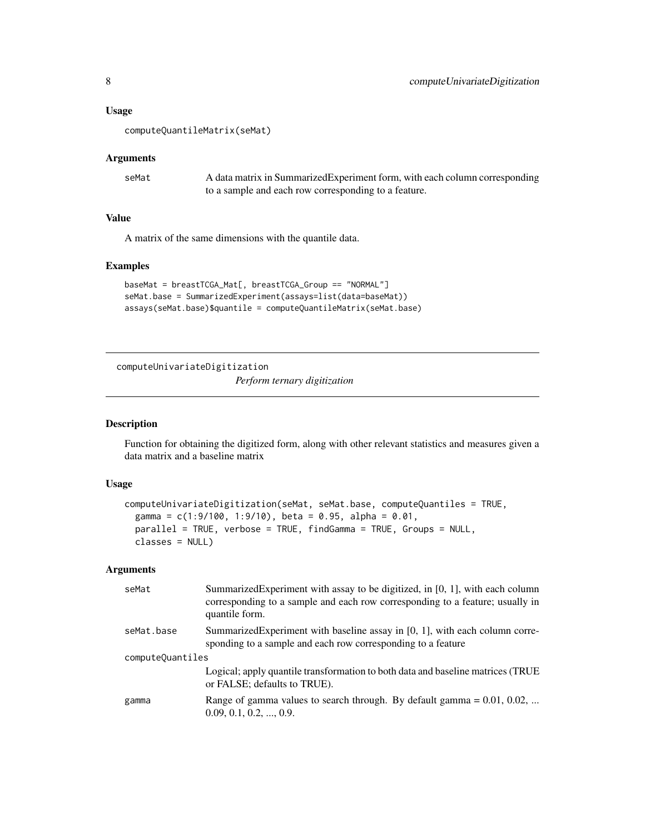#### <span id="page-7-0"></span>Usage

```
computeQuantileMatrix(seMat)
```
#### Arguments

| seMat | A data matrix in SummarizedExperiment form, with each column corresponding |
|-------|----------------------------------------------------------------------------|
|       | to a sample and each row corresponding to a feature.                       |

# Value

A matrix of the same dimensions with the quantile data.

# Examples

```
baseMat = breastTCGA_Mat[, breastTCGA_Group == "NORMAL"]
seMat.base = SummarizedExperiment(assays=list(data=baseMat))
assays(seMat.base)$quantile = computeQuantileMatrix(seMat.base)
```
computeUnivariateDigitization

*Perform ternary digitization*

# Description

Function for obtaining the digitized form, along with other relevant statistics and measures given a data matrix and a baseline matrix

#### Usage

```
computeUnivariateDigitization(seMat, seMat.base, computeQuantiles = TRUE,
  gamma = c(1:9/100, 1:9/10), beta = 0.95, alpha = 0.01,
 parallel = TRUE, verbose = TRUE, findGamma = TRUE, Groups = NULL,
 classes = NULL)
```
#### Arguments

| seMat            | Summarized Experiment with assay to be digitized, in $[0, 1]$ , with each column<br>corresponding to a sample and each row corresponding to a feature; usually in<br>quantile form. |
|------------------|-------------------------------------------------------------------------------------------------------------------------------------------------------------------------------------|
| seMat.base       | Summarized Experiment with baseline assay in $[0, 1]$ , with each column corre-<br>sponding to a sample and each row corresponding to a feature                                     |
| computeQuantiles |                                                                                                                                                                                     |
|                  | Logical; apply quantile transformation to both data and baseline matrices (TRUE<br>or FALSE; defaults to TRUE).                                                                     |
| gamma            | Range of gamma values to search through. By default gamma = $0.01$ , $0.02$ ,<br>$0.09, 0.1, 0.2, \ldots, 0.9.$                                                                     |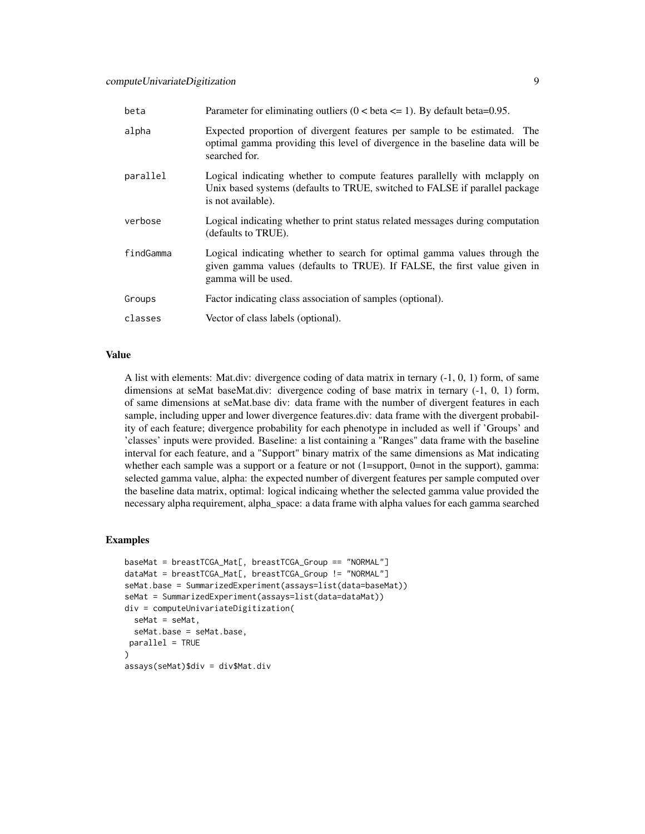| beta      | Parameter for eliminating outliers $(0 < \beta < 1)$ . By default beta=0.95.                                                                                                    |
|-----------|---------------------------------------------------------------------------------------------------------------------------------------------------------------------------------|
| alpha     | Expected proportion of divergent features per sample to be estimated. The<br>optimal gamma providing this level of divergence in the baseline data will be<br>searched for.     |
| parallel  | Logical indicating whether to compute features parallelly with melapply on<br>Unix based systems (defaults to TRUE, switched to FALSE if parallel package<br>is not available). |
| verbose   | Logical indicating whether to print status related messages during computation<br>(defaults to TRUE).                                                                           |
| findGamma | Logical indicating whether to search for optimal gamma values through the<br>given gamma values (defaults to TRUE). If FALSE, the first value given in<br>gamma will be used.   |
| Groups    | Factor indicating class association of samples (optional).                                                                                                                      |
| classes   | Vector of class labels (optional).                                                                                                                                              |

#### Value

A list with elements: Mat.div: divergence coding of data matrix in ternary (-1, 0, 1) form, of same dimensions at seMat baseMat.div: divergence coding of base matrix in ternary (-1, 0, 1) form, of same dimensions at seMat.base div: data frame with the number of divergent features in each sample, including upper and lower divergence features.div: data frame with the divergent probability of each feature; divergence probability for each phenotype in included as well if 'Groups' and 'classes' inputs were provided. Baseline: a list containing a "Ranges" data frame with the baseline interval for each feature, and a "Support" binary matrix of the same dimensions as Mat indicating whether each sample was a support or a feature or not (1=support, 0=not in the support), gamma: selected gamma value, alpha: the expected number of divergent features per sample computed over the baseline data matrix, optimal: logical indicaing whether the selected gamma value provided the necessary alpha requirement, alpha\_space: a data frame with alpha values for each gamma searched

```
baseMat = breastTCGA_Mat[, breastTCGA_Group == "NORMAL"]
dataMat = breastTCGA_Mat[, breastTCGA_Group != "NORMAL"]
seMat.base = SummarizedExperiment(assays=list(data=baseMat))
seMat = SummarizedExperiment(assays=list(data=dataMat))
div = computeUnivariateDigitization(
 seMat = seMat,
 seMat.base = seMat.base,
parallel = TRUE
)
assays(seMat)$div = div$Mat.div
```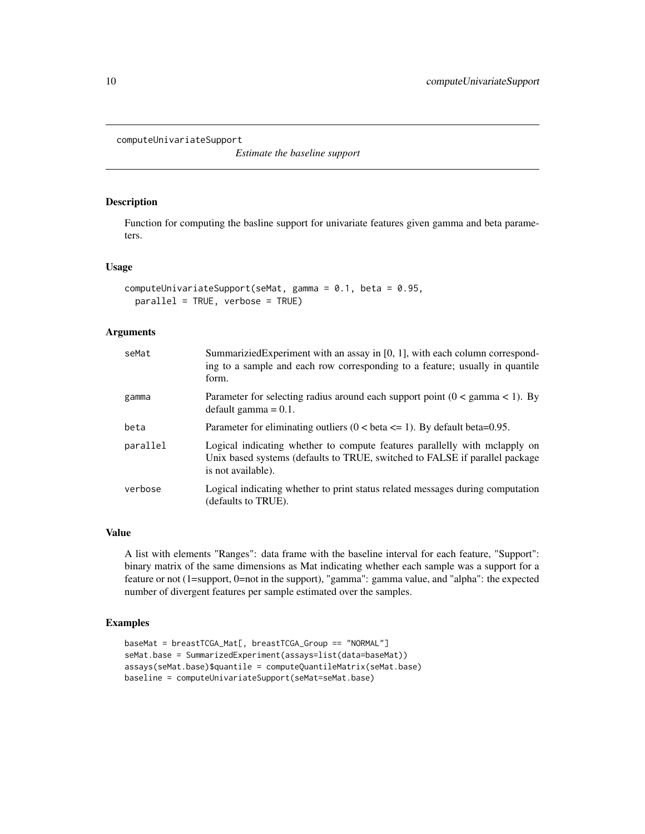<span id="page-9-0"></span>computeUnivariateSupport

*Estimate the baseline support*

# Description

Function for computing the basline support for univariate features given gamma and beta parameters.

# Usage

```
computeUnivariateSupport(seMat, gamma = 0.1, beta = 0.95,
 parallel = TRUE, verbose = TRUE)
```
# Arguments

| seMat    | SummariziedExperiment with an assay in [0, 1], with each column correspond-<br>ing to a sample and each row corresponding to a feature; usually in quantile<br>form.            |
|----------|---------------------------------------------------------------------------------------------------------------------------------------------------------------------------------|
| gamma    | Parameter for selecting radius around each support point $(0 < \text{gamma} < 1)$ . By<br>$default gamma = 0.1.$                                                                |
| beta     | Parameter for eliminating outliers $(0 < \beta < 1)$ . By default beta=0.95.                                                                                                    |
| parallel | Logical indicating whether to compute features parallelly with melapply on<br>Unix based systems (defaults to TRUE, switched to FALSE if parallel package<br>is not available). |
| verbose  | Logical indicating whether to print status related messages during computation<br>(defaults to TRUE).                                                                           |

### Value

A list with elements "Ranges": data frame with the baseline interval for each feature, "Support": binary matrix of the same dimensions as Mat indicating whether each sample was a support for a feature or not (1=support, 0=not in the support), "gamma": gamma value, and "alpha": the expected number of divergent features per sample estimated over the samples.

```
baseMat = breastTCGA_Mat[, breastTCGA_Group == "NORMAL"]
seMat.base = SummarizedExperiment(assays=list(data=baseMat))
assays(seMat.base)$quantile = computeQuantileMatrix(seMat.base)
baseline = computeUnivariateSupport(seMat=seMat.base)
```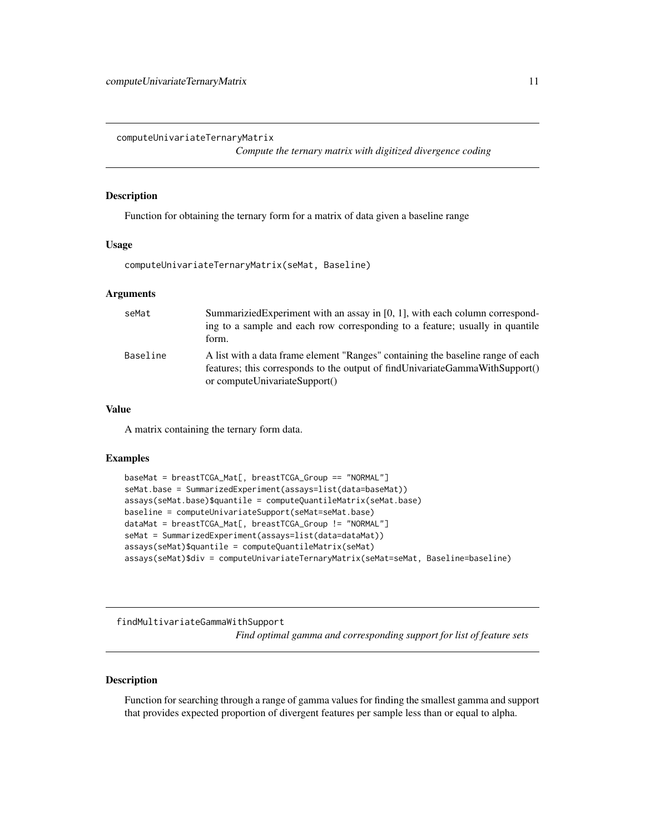<span id="page-10-0"></span>computeUnivariateTernaryMatrix

*Compute the ternary matrix with digitized divergence coding*

# Description

Function for obtaining the ternary form for a matrix of data given a baseline range

#### Usage

computeUnivariateTernaryMatrix(seMat, Baseline)

# Arguments

| seMat    | Summarizied Experiment with an assay in $[0, 1]$ , with each column correspond-<br>ing to a sample and each row corresponding to a feature; usually in quantile<br>form.                             |
|----------|------------------------------------------------------------------------------------------------------------------------------------------------------------------------------------------------------|
| Baseline | A list with a data frame element "Ranges" containing the baseline range of each<br>features; this corresponds to the output of find Univariate Gamma With Support()<br>or computeUnivariateSupport() |

# Value

A matrix containing the ternary form data.

#### Examples

```
baseMat = breastTCGA_Mat[, breastTCGA_Group == "NORMAL"]
seMat.base = SummarizedExperiment(assays=list(data=baseMat))
assays(seMat.base)$quantile = computeQuantileMatrix(seMat.base)
baseline = computeUnivariateSupport(seMat=seMat.base)
dataMat = breastTCGA_Mat[, breastTCGA_Group != "NORMAL"]
seMat = SummarizedExperiment(assays=list(data=dataMat))
assays(seMat)$quantile = computeQuantileMatrix(seMat)
assays(seMat)$div = computeUnivariateTernaryMatrix(seMat=seMat, Baseline=baseline)
```
findMultivariateGammaWithSupport

*Find optimal gamma and corresponding support for list of feature sets*

#### Description

Function for searching through a range of gamma values for finding the smallest gamma and support that provides expected proportion of divergent features per sample less than or equal to alpha.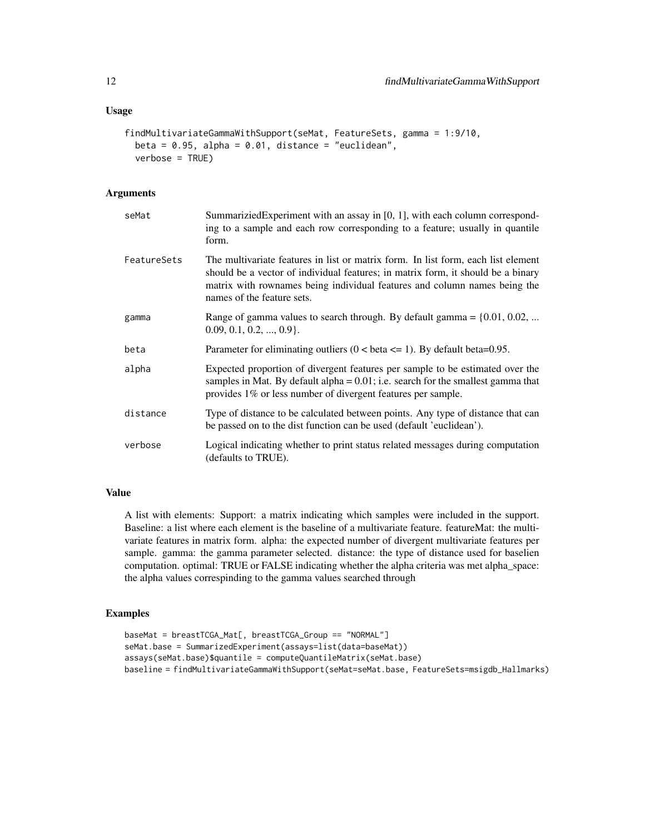# Usage

```
findMultivariateGammaWithSupport(seMat, FeatureSets, gamma = 1:9/10,
 beta = 0.95, alpha = 0.01, distance = "euclidean",
  verbose = TRUE)
```
# Arguments

| seMat       | Summarizied Experiment with an assay in [0, 1], with each column correspond-<br>ing to a sample and each row corresponding to a feature; usually in quantile<br>form.                                                                                                            |
|-------------|----------------------------------------------------------------------------------------------------------------------------------------------------------------------------------------------------------------------------------------------------------------------------------|
| FeatureSets | The multivariate features in list or matrix form. In list form, each list element<br>should be a vector of individual features; in matrix form, it should be a binary<br>matrix with rownames being individual features and column names being the<br>names of the feature sets. |
| gamma       | Range of gamma values to search through. By default gamma = $\{0.01, 0.02, $<br>$0.09, 0.1, 0.2, , 0.9$ .                                                                                                                                                                        |
| beta        | Parameter for eliminating outliers $(0 < \beta < 1)$ . By default beta=0.95.                                                                                                                                                                                                     |
| alpha       | Expected proportion of divergent features per sample to be estimated over the<br>samples in Mat. By default alpha = $0.01$ ; i.e. search for the smallest gamma that<br>provides 1% or less number of divergent features per sample.                                             |
| distance    | Type of distance to be calculated between points. Any type of distance that can<br>be passed on to the dist function can be used (default 'euclidean').                                                                                                                          |
| verbose     | Logical indicating whether to print status related messages during computation<br>(defaults to TRUE).                                                                                                                                                                            |

# Value

A list with elements: Support: a matrix indicating which samples were included in the support. Baseline: a list where each element is the baseline of a multivariate feature. featureMat: the multivariate features in matrix form. alpha: the expected number of divergent multivariate features per sample. gamma: the gamma parameter selected. distance: the type of distance used for baselien computation. optimal: TRUE or FALSE indicating whether the alpha criteria was met alpha\_space: the alpha values correspinding to the gamma values searched through

```
baseMat = breastTCGA_Mat[, breastTCGA_Group == "NORMAL"]
seMat.base = SummarizedExperiment(assays=list(data=baseMat))
assays(seMat.base)$quantile = computeQuantileMatrix(seMat.base)
baseline = findMultivariateGammaWithSupport(seMat=seMat.base, FeatureSets=msigdb_Hallmarks)
```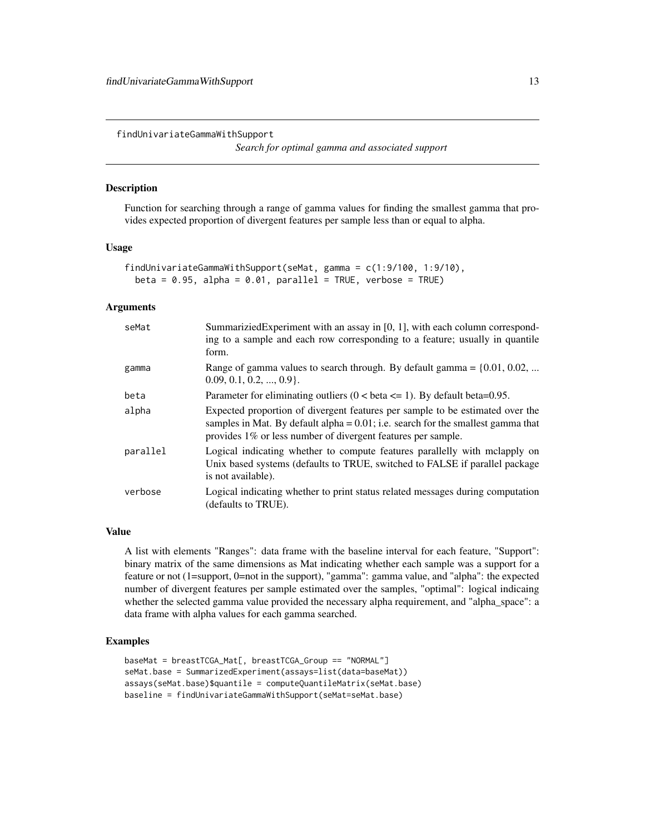<span id="page-12-0"></span>findUnivariateGammaWithSupport

*Search for optimal gamma and associated support*

#### Description

Function for searching through a range of gamma values for finding the smallest gamma that provides expected proportion of divergent features per sample less than or equal to alpha.

#### Usage

```
findUnivariateGammaWithSupport(seMat, gamma = c(1:9/100, 1:9/10),
 beta = 0.95, alpha = 0.01, parallel = TRUE, verbose = TRUE)
```
# Arguments

| seMat    | SummariziedExperiment with an assay in [0, 1], with each column correspond-<br>ing to a sample and each row corresponding to a feature; usually in quantile<br>form.                                                                 |
|----------|--------------------------------------------------------------------------------------------------------------------------------------------------------------------------------------------------------------------------------------|
| gamma    | Range of gamma values to search through. By default gamma = $\{0.01, 0.02, $<br>$0.09, 0.1, 0.2, \ldots, 0.9$ .                                                                                                                      |
| beta     | Parameter for eliminating outliers $(0 < \beta < 1)$ . By default beta=0.95.                                                                                                                                                         |
| alpha    | Expected proportion of divergent features per sample to be estimated over the<br>samples in Mat. By default alpha = $0.01$ ; i.e. search for the smallest gamma that<br>provides 1% or less number of divergent features per sample. |
| parallel | Logical indicating whether to compute features parallelly with melapply on<br>Unix based systems (defaults to TRUE, switched to FALSE if parallel package<br>is not available).                                                      |
| verbose  | Logical indicating whether to print status related messages during computation<br>(defaults to TRUE).                                                                                                                                |

#### Value

A list with elements "Ranges": data frame with the baseline interval for each feature, "Support": binary matrix of the same dimensions as Mat indicating whether each sample was a support for a feature or not (1=support, 0=not in the support), "gamma": gamma value, and "alpha": the expected number of divergent features per sample estimated over the samples, "optimal": logical indicaing whether the selected gamma value provided the necessary alpha requirement, and "alpha\_space": a data frame with alpha values for each gamma searched.

```
baseMat = breastTCGA_Mat[, breastTCGA_Group == "NORMAL"]
seMat.base = SummarizedExperiment(assays=list(data=baseMat))
assays(seMat.base)$quantile = computeQuantileMatrix(seMat.base)
baseline = findUnivariateGammaWithSupport(seMat=seMat.base)
```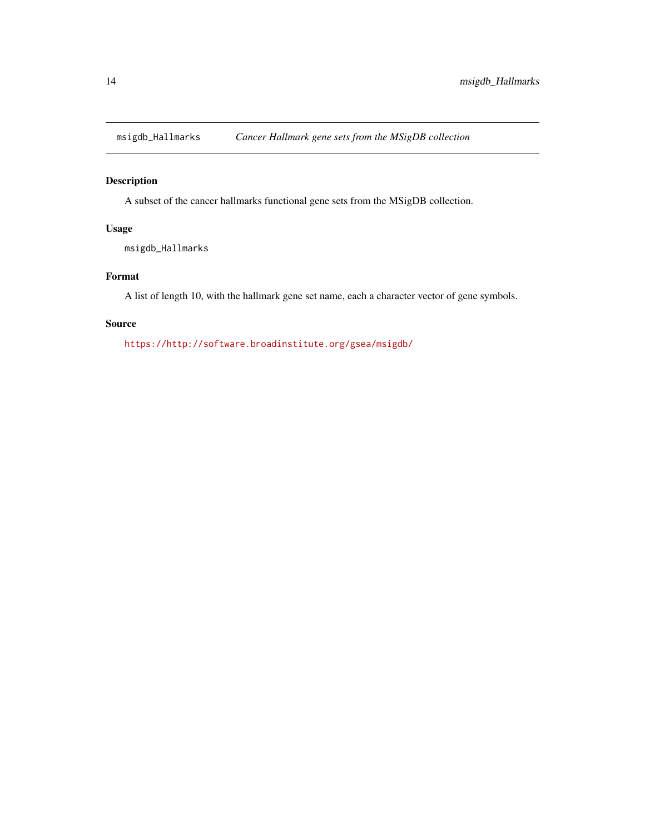<span id="page-13-0"></span>

# Description

A subset of the cancer hallmarks functional gene sets from the MSigDB collection.

# Usage

msigdb\_Hallmarks

# Format

A list of length 10, with the hallmark gene set name, each a character vector of gene symbols.

# Source

<https://http://software.broadinstitute.org/gsea/msigdb/>